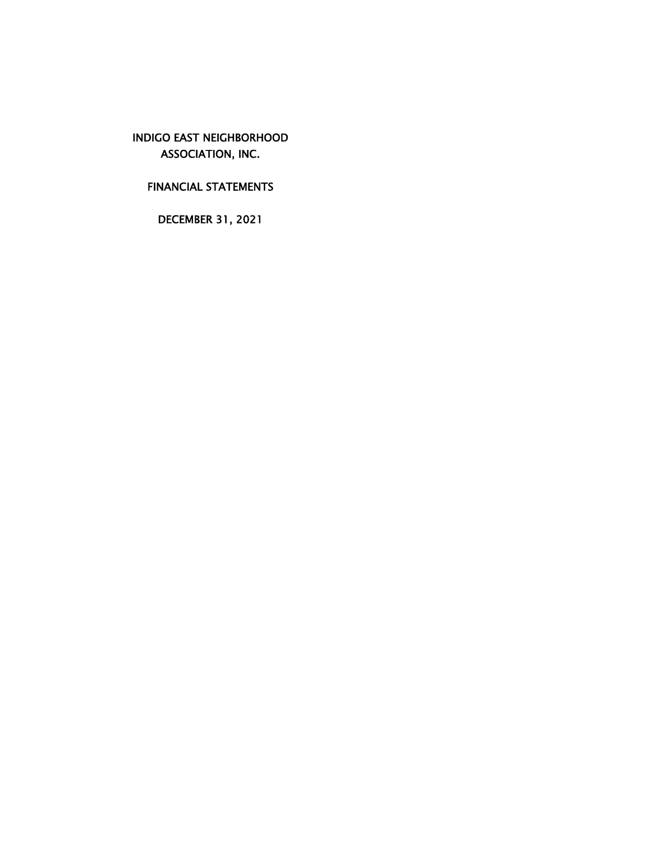INDIGO EAST NEIGHBORHOOD ASSOCIATION, INC.

# FINANCIAL STATEMENTS

DECEMBER 31, 2021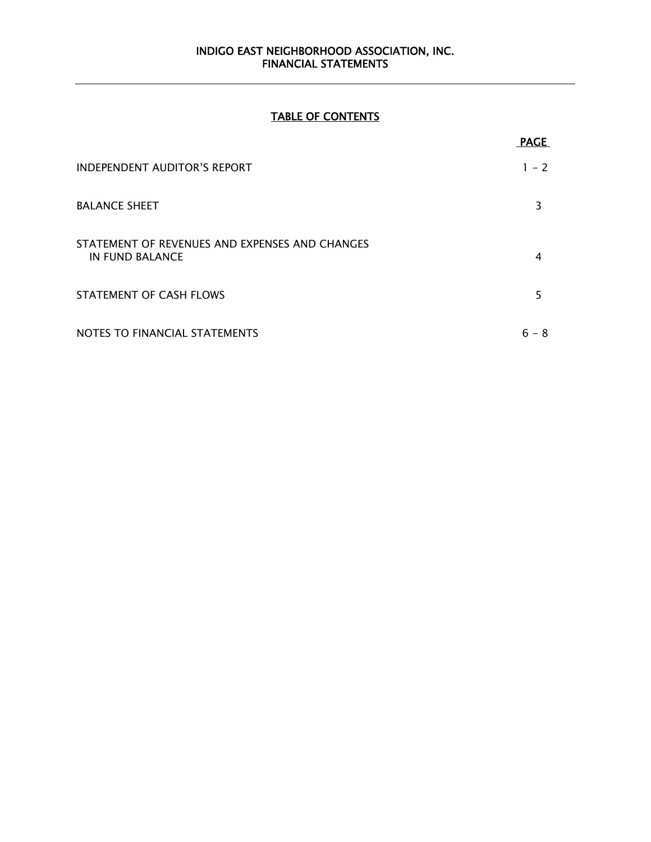# TABLE OF CONTENTS

|                                                                   | <b>PAGE</b> |
|-------------------------------------------------------------------|-------------|
| INDEPENDENT AUDITOR'S REPORT                                      | $-2$        |
| <b>BALANCE SHEET</b>                                              | 3           |
| STATEMENT OF REVENUES AND EXPENSES AND CHANGES<br>IN FUND BALANCE | 4           |
| STATEMENT OF CASH FLOWS                                           | 5           |
| NOTES TO FINANCIAL STATEMENTS                                     | - 8         |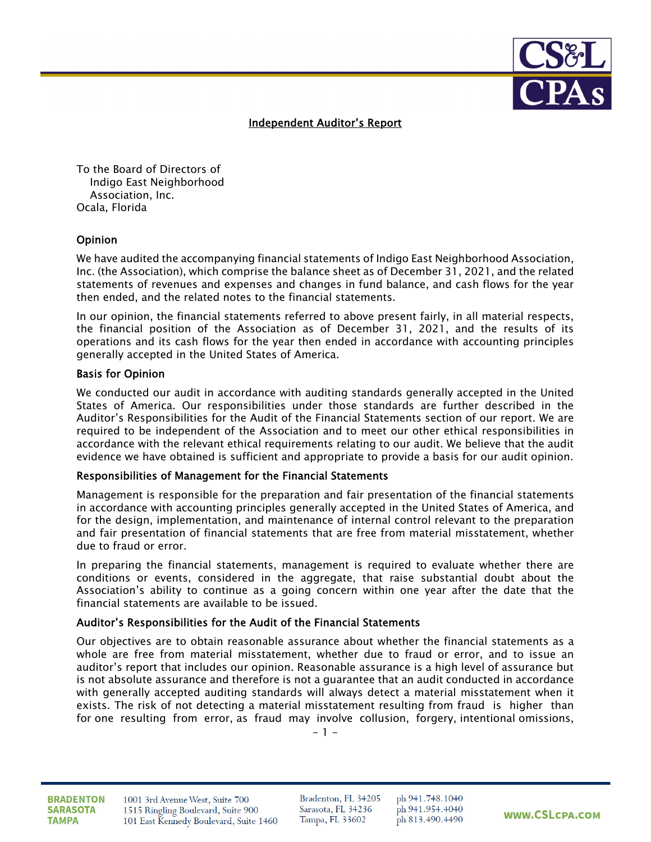

Independent Auditor's Report

To the Board of Directors of Indigo East Neighborhood Association, Inc. Ocala, Florida

## Opinion

We have audited the accompanying financial statements of Indigo East Neighborhood Association, Inc. (the Association), which comprise the balance sheet as of December 31, 2021, and the related statements of revenues and expenses and changes in fund balance, and cash flows for the year then ended, and the related notes to the financial statements.

In our opinion, the financial statements referred to above present fairly, in all material respects, the financial position of the Association as of December 31, 2021, and the results of its operations and its cash flows for the year then ended in accordance with accounting principles generally accepted in the United States of America.

### Basis for Opinion

We conducted our audit in accordance with auditing standards generally accepted in the United States of America. Our responsibilities under those standards are further described in the Auditor's Responsibilities for the Audit of the Financial Statements section of our report. We are required to be independent of the Association and to meet our other ethical responsibilities in accordance with the relevant ethical requirements relating to our audit. We believe that the audit evidence we have obtained is sufficient and appropriate to provide a basis for our audit opinion.

### Responsibilities of Management for the Financial Statements

Management is responsible for the preparation and fair presentation of the financial statements in accordance with accounting principles generally accepted in the United States of America, and for the design, implementation, and maintenance of internal control relevant to the preparation and fair presentation of financial statements that are free from material misstatement, whether due to fraud or error.

In preparing the financial statements, management is required to evaluate whether there are conditions or events, considered in the aggregate, that raise substantial doubt about the Association's ability to continue as a going concern within one year after the date that the financial statements are available to be issued.

### Auditor's Responsibilities for the Audit of the Financial Statements

Our objectives are to obtain reasonable assurance about whether the financial statements as a whole are free from material misstatement, whether due to fraud or error, and to issue an auditor's report that includes our opinion. Reasonable assurance is a high level of assurance but is not absolute assurance and therefore is not a guarantee that an audit conducted in accordance with generally accepted auditing standards will always detect a material misstatement when it exists. The risk of not detecting a material misstatement resulting from fraud is higher than for one resulting from error, as fraud may involve collusion, forgery, intentional omissions,

- 1 -

**BRADENTON SARASOTA TAMPA** 

1001 3rd Avenue West, Suite 700 1515 Ringling Boulevard, Suite 900 101 East Kennedy Boulevard, Suite 1460 Bradenton, FL 34205 Sarasota, FL 34236 Tampa, FL 33602

ph 941.748.1040 ph 941.954.4040 ph 813.490.4490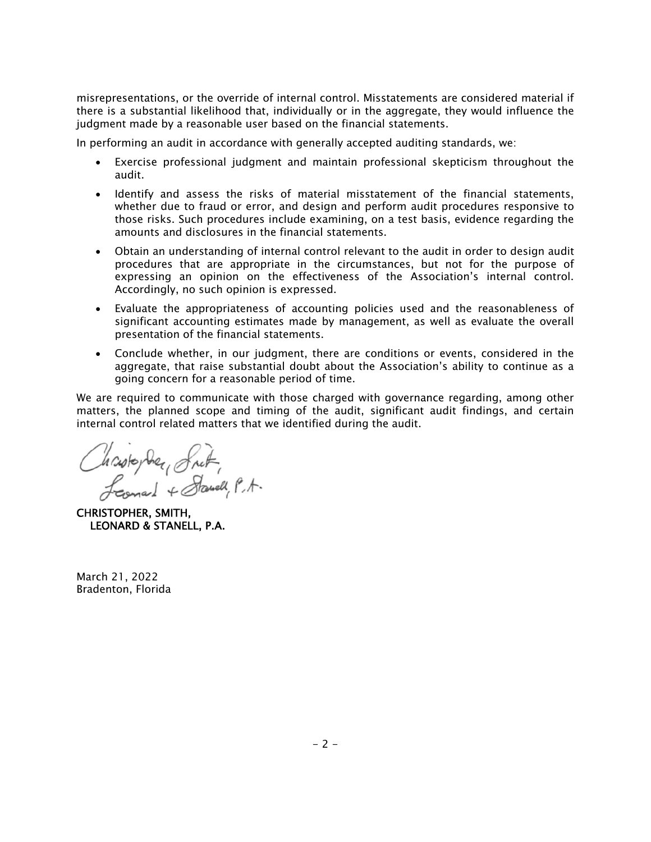misrepresentations, or the override of internal control. Misstatements are considered material if there is a substantial likelihood that, individually or in the aggregate, they would influence the judgment made by a reasonable user based on the financial statements.

In performing an audit in accordance with generally accepted auditing standards, we:

- Exercise professional judgment and maintain professional skepticism throughout the audit.
- Identify and assess the risks of material misstatement of the financial statements, whether due to fraud or error, and design and perform audit procedures responsive to those risks. Such procedures include examining, on a test basis, evidence regarding the amounts and disclosures in the financial statements.
- Obtain an understanding of internal control relevant to the audit in order to design audit procedures that are appropriate in the circumstances, but not for the purpose of expressing an opinion on the effectiveness of the Association's internal control. Accordingly, no such opinion is expressed.
- Evaluate the appropriateness of accounting policies used and the reasonableness of significant accounting estimates made by management, as well as evaluate the overall presentation of the financial statements.
- Conclude whether, in our judgment, there are conditions or events, considered in the aggregate, that raise substantial doubt about the Association's ability to continue as a going concern for a reasonable period of time.

We are required to communicate with those charged with governance regarding, among other matters, the planned scope and timing of the audit, significant audit findings, and certain internal control related matters that we identified during the audit.

hrstopher, Snet,<br>Leonard + Stand, P.A.

CHRISTOPHER, SMITH, LEONARD & STANELL, P.A.

March 21, 2022 Bradenton, Florida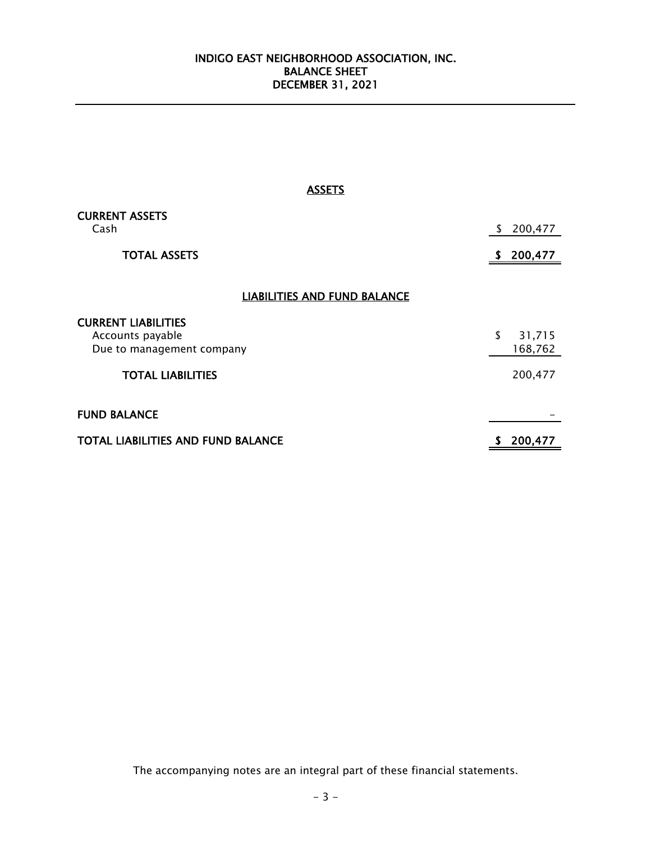# INDIGO EAST NEIGHBORHOOD ASSOCIATION, INC. BALANCE SHEET DECEMBER 31, 2021

| <b>ASSETS</b>                                                               |    |                   |
|-----------------------------------------------------------------------------|----|-------------------|
| <b>CURRENT ASSETS</b><br>Cash                                               | S  | 200,477           |
| <b>TOTAL ASSETS</b>                                                         | S. | 200,477           |
|                                                                             |    |                   |
| <b>LIABILITIES AND FUND BALANCE</b>                                         |    |                   |
| <b>CURRENT LIABILITIES</b><br>Accounts payable<br>Due to management company | \$ | 31,715<br>168,762 |
| <b>TOTAL LIABILITIES</b>                                                    |    | 200,477           |
|                                                                             |    |                   |
| <b>FUND BALANCE</b>                                                         |    |                   |
| <b>TOTAL LIABILITIES AND FUND BALANCE</b>                                   | S  | 200,477           |

The accompanying notes are an integral part of these financial statements.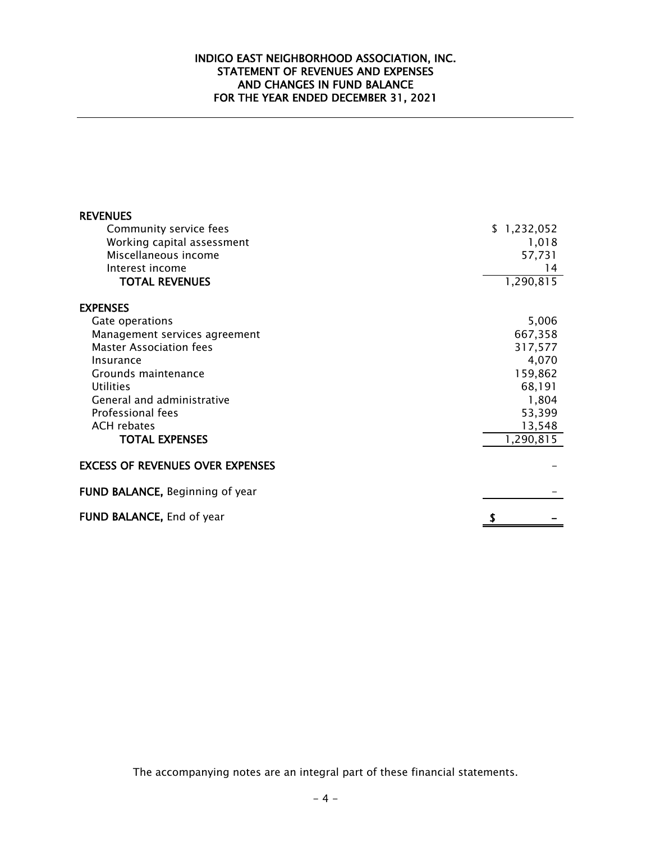## INDIGO EAST NEIGHBORHOOD ASSOCIATION, INC. STATEMENT OF REVENUES AND EXPENSES AND CHANGES IN FUND BALANCE FOR THE YEAR ENDED DECEMBER 31, 2021

| <b>REVENUES</b>                         |             |
|-----------------------------------------|-------------|
| Community service fees                  | \$1,232,052 |
| Working capital assessment              | 1,018       |
| Miscellaneous income                    | 57,731      |
| Interest income                         | 14          |
| <b>TOTAL REVENUES</b>                   | 1,290,815   |
| <b>EXPENSES</b>                         |             |
| Gate operations                         | 5,006       |
| Management services agreement           | 667,358     |
| <b>Master Association fees</b>          | 317,577     |
| Insurance                               | 4,070       |
| Grounds maintenance                     | 159,862     |
| <b>Utilities</b>                        | 68,191      |
| General and administrative              | 1,804       |
| Professional fees                       | 53,399      |
| <b>ACH</b> rebates                      | 13,548      |
| <b>TOTAL EXPENSES</b>                   | 1,290,815   |
| <b>EXCESS OF REVENUES OVER EXPENSES</b> |             |
| <b>FUND BALANCE, Beginning of year</b>  |             |
| FUND BALANCE, End of year               |             |

The accompanying notes are an integral part of these financial statements.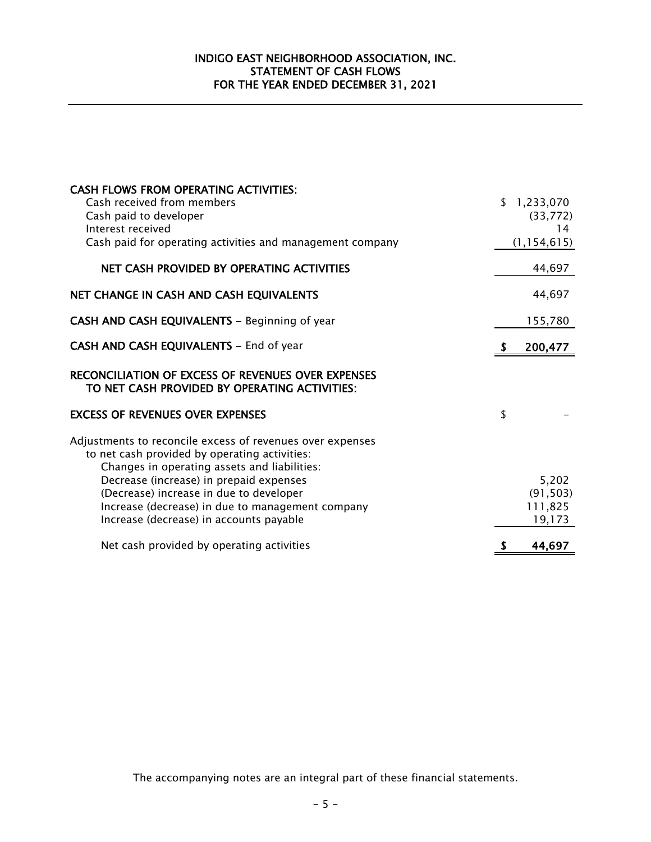## INDIGO EAST NEIGHBORHOOD ASSOCIATION, INC. STATEMENT OF CASH FLOWS FOR THE YEAR ENDED DECEMBER 31, 2021

| <b>CASH FLOWS FROM OPERATING ACTIVITIES:</b>                                                                                                               |                 |
|------------------------------------------------------------------------------------------------------------------------------------------------------------|-----------------|
| Cash received from members                                                                                                                                 | \$<br>1,233,070 |
| Cash paid to developer                                                                                                                                     | (33, 772)       |
| Interest received                                                                                                                                          | 14              |
| Cash paid for operating activities and management company                                                                                                  | (1, 154, 615)   |
| NET CASH PROVIDED BY OPERATING ACTIVITIES                                                                                                                  | 44,697          |
| NET CHANGE IN CASH AND CASH EQUIVALENTS                                                                                                                    | 44,697          |
| CASH AND CASH EQUIVALENTS - Beginning of year                                                                                                              | 155,780         |
| CASH AND CASH EQUIVALENTS - End of year                                                                                                                    | 200,477         |
| RECONCILIATION OF EXCESS OF REVENUES OVER EXPENSES<br>TO NET CASH PROVIDED BY OPERATING ACTIVITIES:                                                        |                 |
| <b>EXCESS OF REVENUES OVER EXPENSES</b>                                                                                                                    | \$              |
| Adjustments to reconcile excess of revenues over expenses<br>to net cash provided by operating activities:<br>Changes in operating assets and liabilities: |                 |
| Decrease (increase) in prepaid expenses                                                                                                                    | 5,202           |
| (Decrease) increase in due to developer                                                                                                                    | (91, 503)       |
| Increase (decrease) in due to management company                                                                                                           | 111,825         |
| Increase (decrease) in accounts payable                                                                                                                    | 19,173          |
| Net cash provided by operating activities                                                                                                                  | 44,697          |

The accompanying notes are an integral part of these financial statements.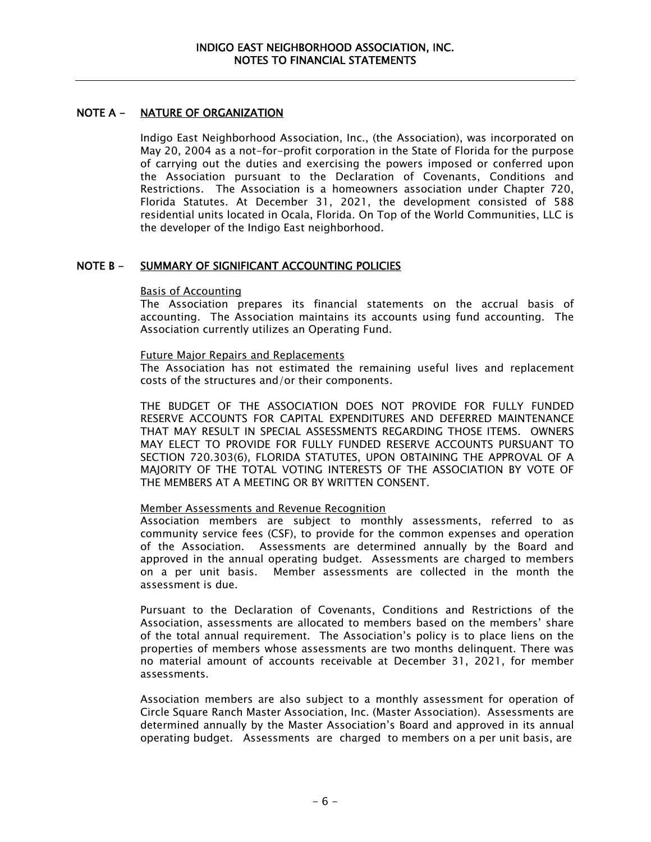### NOTE A - NATURE OF ORGANIZATION

Indigo East Neighborhood Association, Inc., (the Association), was incorporated on May 20, 2004 as a not-for-profit corporation in the State of Florida for the purpose of carrying out the duties and exercising the powers imposed or conferred upon the Association pursuant to the Declaration of Covenants, Conditions and Restrictions. The Association is a homeowners association under Chapter 720, Florida Statutes. At December 31, 2021, the development consisted of 588 residential units located in Ocala, Florida. On Top of the World Communities, LLC is the developer of the Indigo East neighborhood.

## NOTE B - SUMMARY OF SIGNIFICANT ACCOUNTING POLICIES

#### Basis of Accounting

The Association prepares its financial statements on the accrual basis of accounting. The Association maintains its accounts using fund accounting. The Association currently utilizes an Operating Fund.

### Future Major Repairs and Replacements

The Association has not estimated the remaining useful lives and replacement costs of the structures and/or their components.

THE BUDGET OF THE ASSOCIATION DOES NOT PROVIDE FOR FULLY FUNDED RESERVE ACCOUNTS FOR CAPITAL EXPENDITURES AND DEFERRED MAINTENANCE THAT MAY RESULT IN SPECIAL ASSESSMENTS REGARDING THOSE ITEMS. OWNERS MAY ELECT TO PROVIDE FOR FULLY FUNDED RESERVE ACCOUNTS PURSUANT TO SECTION 720.303(6), FLORIDA STATUTES, UPON OBTAINING THE APPROVAL OF A MAJORITY OF THE TOTAL VOTING INTERESTS OF THE ASSOCIATION BY VOTE OF THE MEMBERS AT A MEETING OR BY WRITTEN CONSENT.

### Member Assessments and Revenue Recognition

Association members are subject to monthly assessments, referred to as community service fees (CSF), to provide for the common expenses and operation of the Association. Assessments are determined annually by the Board and approved in the annual operating budget. Assessments are charged to members on a per unit basis. Member assessments are collected in the month the assessment is due.

Pursuant to the Declaration of Covenants, Conditions and Restrictions of the Association, assessments are allocated to members based on the members' share of the total annual requirement. The Association's policy is to place liens on the properties of members whose assessments are two months delinquent. There was no material amount of accounts receivable at December 31, 2021, for member assessments.

Association members are also subject to a monthly assessment for operation of Circle Square Ranch Master Association, Inc. (Master Association). Assessments are determined annually by the Master Association's Board and approved in its annual operating budget. Assessments are charged to members on a per unit basis, are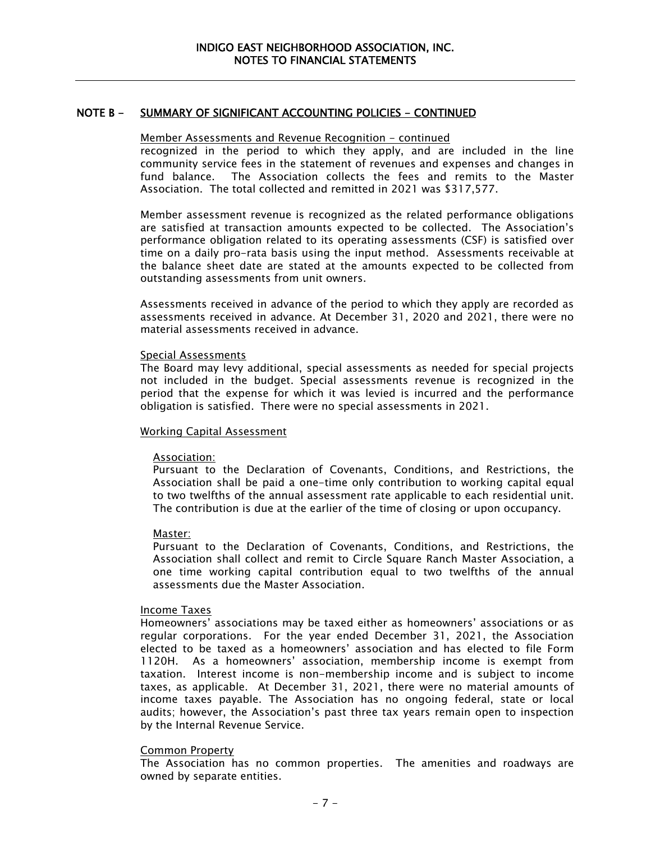### NOTE B - SUMMARY OF SIGNIFICANT ACCOUNTING POLICIES - CONTINUED

#### Member Assessments and Revenue Recognition - continued

recognized in the period to which they apply, and are included in the line community service fees in the statement of revenues and expenses and changes in fund balance. The Association collects the fees and remits to the Master Association. The total collected and remitted in 2021 was \$317,577.

Member assessment revenue is recognized as the related performance obligations are satisfied at transaction amounts expected to be collected. The Association's performance obligation related to its operating assessments (CSF) is satisfied over time on a daily pro-rata basis using the input method. Assessments receivable at the balance sheet date are stated at the amounts expected to be collected from outstanding assessments from unit owners.

Assessments received in advance of the period to which they apply are recorded as assessments received in advance. At December 31, 2020 and 2021, there were no material assessments received in advance.

#### Special Assessments

The Board may levy additional, special assessments as needed for special projects not included in the budget. Special assessments revenue is recognized in the period that the expense for which it was levied is incurred and the performance obligation is satisfied. There were no special assessments in 2021.

#### Working Capital Assessment

#### Association:

Pursuant to the Declaration of Covenants, Conditions, and Restrictions, the Association shall be paid a one-time only contribution to working capital equal to two twelfths of the annual assessment rate applicable to each residential unit. The contribution is due at the earlier of the time of closing or upon occupancy.

#### Master:

Pursuant to the Declaration of Covenants, Conditions, and Restrictions, the Association shall collect and remit to Circle Square Ranch Master Association, a one time working capital contribution equal to two twelfths of the annual assessments due the Master Association.

#### Income Taxes

Homeowners' associations may be taxed either as homeowners' associations or as regular corporations. For the year ended December 31, 2021, the Association elected to be taxed as a homeowners' association and has elected to file Form 1120H. As a homeowners' association, membership income is exempt from taxation. Interest income is non-membership income and is subject to income taxes, as applicable. At December 31, 2021, there were no material amounts of income taxes payable. The Association has no ongoing federal, state or local audits; however, the Association's past three tax years remain open to inspection by the Internal Revenue Service.

#### Common Property

The Association has no common properties. The amenities and roadways are owned by separate entities.